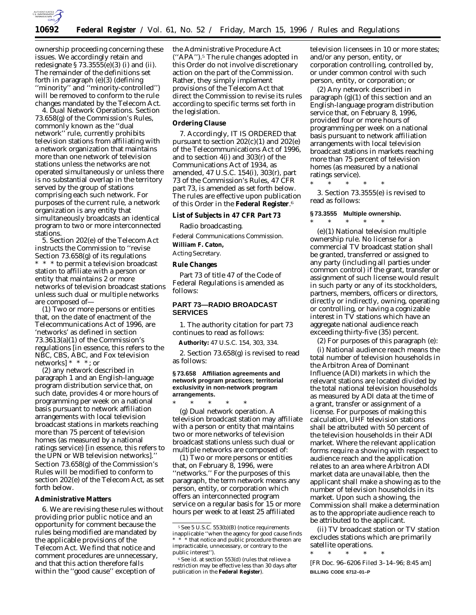

ownership proceeding concerning these issues. We accordingly retain and redesignate  $\S 73.3555(e)(3)$  (i) and (ii). The remainder of the definitions set forth in paragraph (e)(3) (defining ''minority'' and ''minority-controlled'') will be removed to conform to the rule changes mandated by the Telecom Act.

4. *Dual Network Operations.* Section 73.658(g) of the Commission's Rules, commonly known as the ''dual network'' rule, currently prohibits television stations from affiliating with a network organization that maintains more than one network of television stations unless the networks are not operated simultaneously or unless there is no substantial overlap in the territory served by the group of stations comprising each such network. For purposes of the current rule, a network organization is any entity that simultaneously broadcasts an identical program to two or more interconnected stations.

5. Section 202(e) of the Telecom Act instructs the Commission to ''revise Section 73.658(g) of its regulations \* \* \* to permit a television broadcast station to affiliate with a person or entity that maintains 2 or more networks of television broadcast stations unless such dual or multiple networks are composed of—

(1) Two or more persons or entities that, on the date of enactment of the Telecommunications Act of 1996, are 'networks' as defined in section 73.3613(a)(1) of the Commission's regulations [in essence, this refers to the NBC, CBS, ABC, and Fox television networks] \* \* \*; or

(2) any network described in paragraph 1 and an English-language program distribution service that, on such date, provides 4 or more hours of programming per week on a national basis pursuant to network affiliation arrangements with local television broadcast stations in markets reaching more than 75 percent of television homes (as measured by a national ratings service) [in essence, this refers to the UPN or WB television networks].'' Section 73.658(g) of the Commission's Rules will be modified to conform to section 202(e) of the Telecom Act, as set forth below.

#### **Administrative Matters**

6. We are revising these rules without providing prior public notice and an opportunity for comment because the rules being modified are mandated by the applicable provisions of the Telecom Act. We find that notice and comment procedures are unnecessary, and that this action therefore falls within the ''good cause'' exception of

the Administrative Procedure Act (''APA'').5 The rule changes adopted in this Order do not involve discretionary action on the part of the Commission. Rather, they simply implement provisions of the Telecom Act that direct the Commission to revise its rules according to specific terms set forth in the legislation.

# **Ordering Clause**

7. Accordingly, IT IS ORDERED that pursuant to section 202(c)(1) and 202(e) of the Telecommunications Act of 1996, and to section 4(i) and 303(r) of the Communications Act of 1934, as amended, 47 U.S.C. 154(i), 303(r), part 73 of the Commission's Rules, 47 CFR part 73, is amended as set forth below. The rules are effective upon publication of this Order in the **Federal Register**.6

**List of Subjects in 47 CFR Part 73**

Radio broadcasting.

Federal Communications Commission. **William F. Caton,** *Acting Secretary.*

# **Rule Changes**

Part 73 of title 47 of the Code of Federal Regulations is amended as follows:

### **PART 73—RADIO BROADCAST SERVICES**

1. The authority citation for part 73 continues to read as follows:

**Authority:** 47 U.S.C. 154, 303, 334.

2. Section 73.658(g) is revised to read as follows:

#### **§ 73.658 Affiliation agreements and network program practices; territorial exclusivity in non-network program arrangements.**

\* \* \* \* \* (g) *Dual network operation.* A television broadcast station may affiliate with a person or entity that maintains two or more networks of television broadcast stations *unless* such dual or multiple networks are composed of:

(1) Two or more persons or entities that, on February 8, 1996, were ''networks.'' For the purposes of this paragraph, the term network means any person, entity, or corporation which offers an interconnected program service on a regular basis for 15 or more hours per week to at least 25 affiliated

television licensees in 10 or more states; and/or any person, entity, or corporation controlling, controlled by, or under common control with such person, entity, or corporation; or

(2) Any network described in paragraph (g)(1) of this section and an English-language program distribution service that, on February 8, 1996, provided four or more hours of programming per week on a national basis pursuant to network affiliation arrangements with local television broadcast stations in markets reaching more than 75 percent of television homes (as measured by a national ratings service).

\* \* \* \* \* 3. Section 73.3555(e) is revised to read as follows:

#### **§ 73.3555 Multiple ownership.**

\* \* \* \* \*

(e)(1) *National television multiple ownership rule.* No license for a commercial TV broadcast station shall be granted, transferred or assigned to any party (including all parties under common control) if the grant, transfer or assignment of such license would result in such party or any of its stockholders, partners, members, officers or directors, directly or indirectly, owning, operating or controlling, or having a cognizable interest in TV stations which have an aggregate national audience reach exceeding thirty-five (35) percent.

(2) For purposes of this paragraph (e):

(i) *National audience reach* means the total number of television households in the Arbitron Area of Dominant Influence (ADI) markets in which the relevant stations are located divided by the total national television households as measured by ADI data at the time of a grant, transfer or assignment of a license. For purposes of making this calculation, UHF television stations shall be attributed with 50 percent of the television households in their ADI market. Where the relevant application forms require a showing with respect to audience reach and the application relates to an area where Arbitron ADI market data are unavailable, then the applicant shall make a showing as to the number of television households in its market. Upon such a showing, the Commission shall make a determination as to the appropriate audience reach to be attributed to the applicant.

(ii) *TV broadcast station or TV station* excludes stations which are primarily satellite operations.

\* \* \* \* \*

[FR Doc. 96–6206 Filed 3–14–96; 8:45 am] **BILLING CODE 6712–01–P**

<sup>5</sup>*See* 5 U.S.C. 553(b)(B) (notice requirements inapplicable ''when the agency for good cause finds  $*$  that notice and public procedure thereon are impracticable, unnecessary, or contrary to the public interest'').

<sup>6</sup>*See id.* at section 553(d) (rules that relieve a restriction may be effective less than 30 days after publication in the **Federal Register**).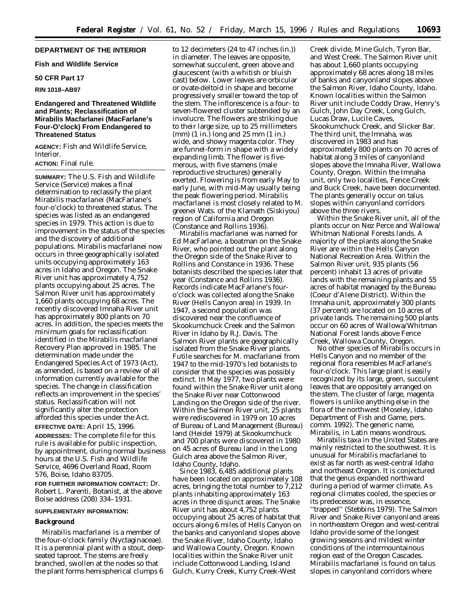# **DEPARTMENT OF THE INTERIOR**

### **Fish and Wildlife Service**

## **50 CFR Part 17**

### **RIN 1018–AB97**

## **Endangered and Threatened Wildlife and Plants; Reclassification of Mirabilis Macfarlanei (MacFarlane's Four-O'clock) From Endangered to Threatened Status**

**AGENCY:** Fish and Wildlife Service, **Interior** 

## **ACTION:** Final rule.

**SUMMARY:** The U.S. Fish and Wildlife Service (Service) makes a final determination to reclassify the plant *Mirabilis macfarlanei* (MacFarlane's four-o'clock) to threatened status. The species was listed as an endangered species in 1979. This action is due to improvement in the status of the species and the discovery of additional populations. *Mirabilis macfarlanei* now occurs in three geographically isolated units occupying approximately 163 acres in Idaho and Oregon. The Snake River unit has approximately 4,752 plants occupying about 25 acres. The Salmon River unit has approximately 1,660 plants occupying 68 acres. The recently discovered Imnaha River unit has approximately 800 plants on 70 acres. In addition, the species meets the minimum goals for reclassification identified in the *Mirabilis macfarlanei* Recovery Plan approved in 1985. The determination made under the Endangered Species Act of 1973 (Act), as amended, is based on a review of all information currently available for the species. The change in classification reflects an improvement in the species' status. Reclassification will not significantly alter the protection afforded this species under the Act.

#### **EFFECTIVE DATE:** April 15, 1996.

**ADDRESSES:** The complete file for this rule is available for public inspection, by appointment, during normal business hours at the U.S. Fish and Wildlife Service, 4696 Overland Road, Room 576, Boise, Idaho 83705.

**FOR FURTHER INFORMATION CONTACT:** Dr. Robert L. Parenti, Botanist, at the above Boise address (208) 334–1931.

#### **SUPPLEMENTARY INFORMATION:**

#### **Background**

*Mirabilis macfarlanei* is a member of the four-o'clock family (Nyctaginaceae). It is a perennial plant with a stout, deepseated taproot. The stems are freely branched, swollen at the nodes so that the plant forms hemispherical clumps 6

to 12 decimeters (24 to 47 inches (in.)) in diameter. The leaves are opposite, somewhat succulent, green above and glaucescent (with a whitish or bluish cast) below. Lower leaves are orbicular or ovate-deltoid in shape and become progressively smaller toward the top of the stem. The inflorescence is a four- to seven-flowered cluster subtended by an involucre. The flowers are striking due to their large size, up to 25 millimeters (mm) (1 in.) long and 25 mm (1 in.) wide, and showy magenta color. They are funnel-form in shape with a widely expanding limb. The flower is fivemerous, with five stamens (male reproductive structures) generally exerted. Flowering is from early May to early June, with mid-May usually being the peak flowering period. *Mirabilis macfarlanei* is most closely related to *M. greenei* Wats. of the Klamath (Siskiyou) region of California and Oregon (Constance and Rollins 1936).

*Mirabilis macfarlanei* was named for Ed MacFarlane, a boatman on the Snake River, who pointed out the plant along the Oregon side of the Snake River to Rollins and Constance in 1936. These botanists described the species later that year (Constance and Rollins 1936). Records indicate MacFarlane's fouro'clock was collected along the Snake River (Hells Canyon area) in 1939. In 1947, a second population was discovered near the confluence of Skookumchuck Creek and the Salmon River in Idaho by R.J. Davis. The Salmon River plants are geographically isolated from the Snake River plants. Futile searches for *M. macfarlanei* from 1947 to the mid-1970's led botanists to consider that the species was possibly extinct. In May 1977, two plants were found within the Snake River unit along the Snake River near Cottonwood Landing on the Oregon side of the river. Within the Salmon River unit, 25 plants were rediscovered in 1979 on 10 acres of Bureau of Land Management (Bureau) land (Heidel 1979) at Skookumchuck and 700 plants were discovered in 1980 on 45 acres of Bureau land in the Long Gulch area above the Salmon River, Idaho County, Idaho.

Since 1983, 6,485 additional plants have been located on approximately 108 acres, bringing the total number to 7,212 plants inhabiting approximately 163 acres in three disjunct areas. The Snake River unit has about 4,752 plants occupying about 25 acres of habitat that occurs along 6 miles of Hells Canyon on the banks and canyonland slopes above the Snake River, Idaho County, Idaho and Wallowa County, Oregon. Known localities within the Snake River unit include Cottonwood Landing, Island Gulch, Kurry Creek, Kurry Creek-West

Creek divide, Mine Gulch, Tyron Bar, and West Creek. The Salmon River unit has about 1,660 plants occupying approximately 68 acres along 18 miles of banks and canyonland slopes above the Salmon River, Idaho County, Idaho. Known localities within the Salmon River unit include Coddy Draw, Henry's Gulch, John Day Creek, Long Gulch, Lucas Draw, Lucile Caves, Skookumchuck Creek, and Slicker Bar. The third unit, the Imnaha, was discovered in 1983 and has approximately 800 plants on 70 acres of habitat along 3 miles of canyonland slopes above the Imnaha River, Wallowa County, Oregon. Within the Imnaha unit, only two localities, Fence Creek and Buck Creek, have been documented. The plants generally occur on talus slopes within canyonland corridors above the three rivers.

Within the Snake River unit, all of the plants occur on Nez Perce and Wallowa/ Whitman National Forests lands. A majority of the plants along the Snake River are within the Hells Canyon National Recreation Area. Within the Salmon River unit, 935 plants (56 percent) inhabit 13 acres of private lands with the remaining plants and 55 acres of habitat managed by the Bureau (Coeur d'Alene District). Within the Imnaha unit, approximately 300 plants (37 percent) are located on 10 acres of private lands. The remaining 500 plants occur on 60 acres of Wallowa/Whitman National Forest lands above Fence Creek, Wallowa County, Oregon.

No other species of *Mirabilis* occurs in Hells Canyon and no member of the regional flora resembles MacFarlane's four-o'clock. This large plant is easily recognized by its large, green, succulent leaves that are oppositely arranged on the stem. The cluster of large, magenta flowers is unlike anything else in the flora of the northwest (Moseley, Idaho Department of Fish and Game, pers. comm. 1992). The generic name, *Mirabilis,* in Latin means wondrous.

*Mirabilis* taxa in the United States are mainly restricted to the southwest. It is unusual for *Mirabilis macfarlanei* to exist as far north as west-central Idaho and northeast Oregon. It is conjectured that the genus expanded northward during a period of warmer climate. As regional climates cooled, the species or its predecessor was, in essence, ''trapped'' (Stebbins 1979). The Salmon River and Snake River canyonland areas in northeastern Oregon and west-central Idaho provide some of the longest growing seasons and mildest winter conditions of the intermountainous region east of the Oregon Cascades. *Mirabilis macfarlanei* is found on talus slopes in canyonland corridors where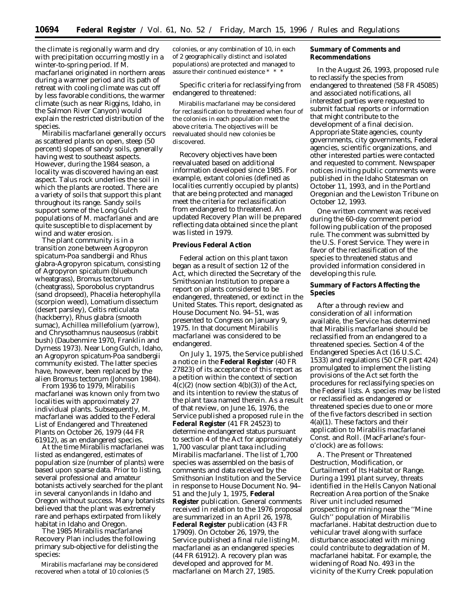the climate is regionally warm and dry with precipitation occurring mostly in a winter-to-spring period. If *M. macfarlanei* originated in northern areas during a warmer period and its path of retreat with cooling climate was cut off by less favorable conditions, the warmer climate (such as near Riggins, Idaho, in the Salmon River Canyon) would explain the restricted distribution of the species.

*Mirabilis macfarlanei* generally occurs as scattered plants on open, steep (50 percent) slopes of sandy soils, generally having west to southeast aspects. However, during the 1984 season, a locality was discovered having an east aspect. Talus rock underlies the soil in which the plants are rooted. There are a variety of soils that support this plant throughout its range. Sandy soils support some of the Long Gulch populations of *M. macfarlanei* and are quite susceptible to displacement by wind and water erosion.

The plant community is in a transition zone between *Agropyron spicatum-Poa sandbergii* and *Rhus glabra-Agropyron spicatum,* consisting of *Agropyron spicatum* (bluebunch wheatgrass), *Bromus tectorum* (cheatgrass), *Sporobolus cryptandrus* (sand dropseed), *Phacelia heterophylla* (scorpion weed), *Lomatium dissectum* (desert parsley), *Celtis reticulata* (hackberry), *Rhus glabra* (smooth sumac), *Achillea millefolium* (yarrow), and *Chrysothamnus nauseosus* (rabbit bush) (Daubenmire 1970, Franklin and Dyrness 1973). Near Long Gulch, Idaho, an *Agropyron spicatum-Poa sandbergii* community existed. The latter species have, however, been replaced by the alien *Bromus tectorum* (Johnson 1984).

From 1936 to 1979, *Mirabilis macfarlanei* was known only from two localities with approximately 27 individual plants. Subsequently, *M. macfarlanei* was added to the Federal List of Endangered and Threatened Plants on October 26, 1979 (44 FR 61912), as an endangered species.

At the time *Mirabilis macfarlanei* was listed as endangered, estimates of population size (number of plants) were based upon sparse data. Prior to listing, several professional and amateur botanists actively searched for the plant in several canyonlands in Idaho and Oregon without success. Many botanists believed that the plant was extremely rare and perhaps extirpated from likely habitat in Idaho and Oregon.

The 1985 *Mirabilis macfarlanei* Recovery Plan includes the following primary sub-objective for delisting the species:

*Mirabilis macfarlanei* may be considered recovered when a total of  $10$  colonies (5

colonies, or any combination of 10, in each of 2 geographically distinct and isolated populations) are protected and managed to assure their continued existence \* \* \*

Specific criteria for reclassifying from endangered to threatened:

*Mirabilis macfarlanei* may be considered for reclassification to threatened when four of the colonies in each population meet the above criteria. The objectives will be reevaluated should new colonies be discovered.

Recovery objectives have been reevaluated based on additional information developed since 1985. For example, extant colonies (defined as localities currently occupied by plants) that are being protected and managed meet the criteria for reclassification from endangered to threatened. An updated Recovery Plan will be prepared reflecting data obtained since the plant was listed in 1979.

#### **Previous Federal Action**

Federal action on this plant taxon began as a result of section 12 of the Act, which directed the Secretary of the Smithsonian Institution to prepare a report on plants considered to be endangered, threatened, or extinct in the United States. This report, designated as House Document No. 94–51, was presented to Congress on January 9, 1975. In that document *Mirabilis macfarlanei* was considered to be endangered.

On July 1, 1975, the Service published a notice in the **Federal Register** (40 FR 27823) of its acceptance of this report as a petition within the context of section  $4(c)(2)$  (now section  $4(b)(3)$ ) of the Act, and its intention to review the status of the plant taxa named therein. As a result of that review, on June 16, 1976, the Service published a proposed rule in the **Federal Register** (41 FR 24523) to determine endangered status pursuant to section 4 of the Act for approximately 1,700 vascular plant taxa including *Mirabilis macfarlanei.* The list of 1,700 species was assembled on the basis of comments and data received by the Smithsonian Institution and the Service in response to House Document No. 94– 51 and the July 1, 1975, **Federal Register** publication. General comments received in relation to the 1976 proposal are summarized in an April 26, 1978, **Federal Register** publication (43 FR 17909). On October 26, 1979, the Service published a final rule listing *M. macfarlanei* as an endangered species (44 FR 61912). A recovery plan was developed and approved for *M. macfarlanei* on March 27, 1985.

**Summary of Comments and Recommendations**

In the August 26, 1993, proposed rule to reclassify the species from endangered to threatened (58 FR 45085) and associated notifications, all interested parties were requested to submit factual reports or information that might contribute to the development of a final decision. Appropriate State agencies, county governments, city governments, Federal agencies, scientific organizations, and other interested parties were contacted and requested to comment. Newspaper notices inviting public comments were published in the Idaho Statesman on October 11, 1993, and in the Portland Oregonian and the Lewiston Tribune on October 12, 1993.

One written comment was received during the 60-day comment period following publication of the proposed rule. The comment was submitted by the U.S. Forest Service. They were in favor of the reclassification of the species to threatened status and provided information considered in developing this rule.

**Summary of Factors Affecting the Species**

After a through review and consideration of all information available, the Service has determined that *Mirabilis macfarlanei* should be reclassified from an endangered to a threatened species. Section 4 of the Endangered Species Act (16 U.S.C. 1533) and regulations (50 CFR part 424) promulgated to implement the listing provisions of the Act set forth the procedures for reclassifying species on the Federal lists. A species may be listed or reclassified as endangered or threatened species due to one or more of the five factors described in section 4(a)(1). These factors and their application to *Mirabilis macfarlanei* Const. and Roll. (MacFarlane's fouro'clock) are as follows:

A. *The Present or Threatened Destruction, Modification, or Curtailment of Its Habitat or Range.* During a 1991 plant survey, threats identified in the Hells Canyon National Recreation Area portion of the Snake River unit included resumed prospecting or mining near the ''Mine Gulch'' population of *Mirabilis macfarlanei.* Habitat destruction due to vehicular travel along with surface disturbance associated with mining could contribute to degradation of *M. macfarlanei* habitat. For example, the widening of Road No. 493 in the vicinity of the Kurry Creek population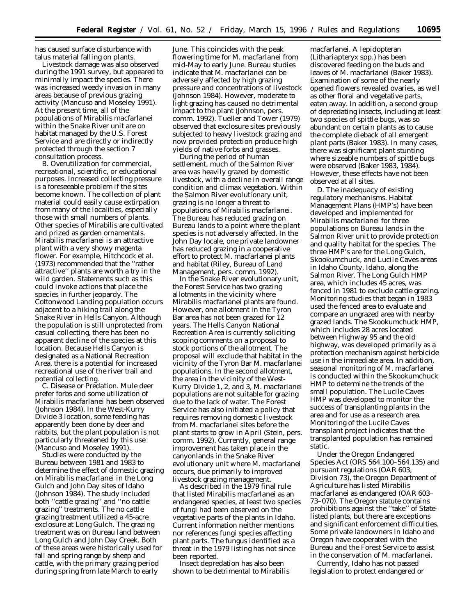has caused surface disturbance with talus material falling on plants.

Livestock damage was also observed during the 1991 survey, but appeared to minimally impact the species. There was increased weedy invasion in many areas because of previous grazing activity (Mancuso and Moseley 1991). At the present time, all of the populations of *Mirabilis macfarlanei* within the Snake River unit are on habitat managed by the U.S. Forest Service and are directly or indirectly protected through the section 7 consultation process.

B. *Overutilization for commercial, recreational, scientific, or educational purposes.* Increased collecting pressure is a foreseeable problem if the sites become known. The collection of plant material could easily cause extirpation from many of the localities, especially those with small numbers of plants. Other species of *Mirabilis* are cultivated and prized as garden ornamentals. *Mirabilis macfarlanei* is an attractive plant with a very showy magenta flower. For example, Hitchcock *et al.* (1973) recommended that the ''rather attractive'' plants are worth a try in the wild garden. Statements such as this could invoke actions that place the species in further jeopardy. The Cottonwood Landing population occurs adjacent to a hiking trail along the Snake River in Hells Canyon. Although the population is still unprotected from casual collecting, there has been no apparent decline of the species at this location. Because Hells Canyon is designated as a National Recreation Area, there is a potential for increased recreational use of the river trail and potential collecting.

C. *Disease or Predation.* Mule deer prefer forbs and some utilization of *Mirabilis macfarlanei* has been observed (Johnson 1984). In the West-Kurry Divide 3 location, some feeding has apparently been done by deer and rabbits, but the plant population is not particularly threatened by this use (Mancuso and Moseley 1991).

Studies were conducted by the Bureau between 1981 and 1983 to determine the effect of domestic grazing on *Mirabilis macfarlanei* in the Long Gulch and John Day sites of Idaho (Johnson 1984). The study included both ''cattle grazing'' and ''no cattle grazing'' treatments. The no cattle grazing treatment utilized a 45-acre exclosure at Long Gulch. The grazing treatment was on Bureau land between Long Gulch and John Day Creek. Both of these areas were historically used for fall and spring range by sheep and cattle, with the primary grazing period during spring from late March to early

June. This coincides with the peak flowering time for *M. macfarlanei* from mid-May to early June. Bureau studies indicate that *M. macfarlanei* can be adversely affected by high grazing pressure and concentrations of livestock (Johnson 1984). However, moderate to light grazing has caused no detrimental impact to the plant (Johnson, pers. comm. 1992). Tueller and Tower (1979) observed that exclosure sites previously subjected to heavy livestock grazing and now provided protection produce high yields of native forbs and grasses.

During the period of human settlement, much of the Salmon River area was heavily grazed by domestic livestock, with a decline in overall range condition and climax vegetation. Within the Salmon River evolutionary unit, grazing is no longer a threat to populations of *Mirabilis macfarlanei.* The Bureau has reduced grazing on Bureau lands to a point where the plant species is not adversely affected. In the John Day locale, one private landowner has reduced grazing in a cooperative effort to protect *M. macfarlanei* plants and habitat (Riley, Bureau of Land Management, pers. comm. 1992).

In the Snake River evolutionary unit, the Forest Service has two grazing allotments in the vicinity where *Mirabilis macfarlanei* plants are found. However, one allotment in the Tyron Bar area has not been grazed for 12 years. The Hells Canyon National Recreation Area is currently soliciting scoping comments on a proposal to stock portions of the allotment. The proposal will exclude that habitat in the vicinity of the Tyron Bar *M. macfarlanei* populations. In the second allotment, the area in the vicinity of the West-Kurry Divide 1, 2, and 3, *M. macfarlanei* populations are not suitable for grazing due to the lack of water. The Forest Service has also initiated a policy that requires removing domestic livestock from *M. macfarlanei* sites before the plant starts to grow in April (Stein, pers. comm. 1992). Currently, general range improvement has taken place in the canyonlands in the Snake River evolutionary unit where *M. macfarlanei* occurs, due primarily to improved livestock grazing management.

As described in the 1979 final rule that listed *Mirabilis macfarlanei* as an endangered species, at least two species of fungi had been observed on the vegetative parts of the plants in Idaho. Current information neither mentions nor references fungi species affecting plant parts. The fungus identified as a threat in the 1979 listing has not since been reported.

Insect depredation has also been shown to be detrimental to *Mirabilis*

*macfarlanei.* A lepidopteran (*Lithariapteryx spp.*) has been discovered feeding on the buds and leaves of *M. macfarlanei* (Baker 1983). Examination of some of the nearly opened flowers revealed ovaries, as well as other floral and vegetative parts, eaten away. In addition, a second group of depredating insects, including at least two species of spittle bugs, was so abundant on certain plants as to cause the complete dieback of all emergent plant parts (Baker 1983). In many cases, there was significant plant stunting where sizeable numbers of spittle bugs were observed (Baker 1983, 1984). However, these effects have not been observed at all sites.

D. *The inadequacy of existing regulatory mechanisms.* Habitat Management Plans (HMP's) have been developed and implemented for *Mirabilis macfarlanei* for three populations on Bureau lands in the Salmon River unit to provide protection and quality habitat for the species. The three HMP's are for the Long Gulch, Skookumchuck, and Lucile Caves areas in Idaho County, Idaho, along the Salmon River. The Long Gulch HMP area, which includes 45 acres, was fenced in 1981 to exclude cattle grazing. Monitoring studies that began in 1983 used the fenced area to evaluate and compare an ungrazed area with nearby grazed lands. The Skookumchuck HMP, which includes 28 acres located between Highway 95 and the old highway, was developed primarily as a protection mechanism against herbicide use in the immediate area. In addition, seasonal monitoring of *M. macfarlanei* is conducted within the Skookumchuck HMP to determine the trends of the small population. The Lucile Caves HMP was developed to monitor the success of transplanting plants in the area and for use as a research area. Monitoring of the Lucile Caves transplant project indicates that the transplanted population has remained static.

Under the Oregon Endangered Species Act (ORS 564.100–564.135) and pursuant regulations (OAR 603, Division 73), the Oregon Department of Agriculture has listed *Mirabilis macfarlanei* as endangered (OAR 603– 73–070). The Oregon statute contains prohibitions against the ''take'' of Statelisted plants, but there are exceptions and significant enforcement difficulties. Some private landowners in Idaho and Oregon have cooperated with the Bureau and the Forest Service to assist in the conservation of *M. macfarlanei.*

Currently, Idaho has not passed legislation to protect endangered or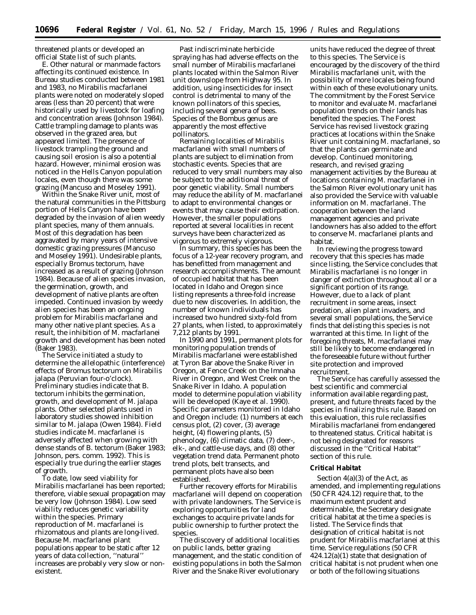threatened plants or developed an official State list of such plants.

E. *Other natural or manmade factors affecting its continued existence.* In Bureau studies conducted between 1981 and 1983, no *Mirabilis macfarlanei* plants were noted on moderately sloped areas (less than 20 percent) that were historically used by livestock for loafing and concentration areas (Johnson 1984). Cattle trampling damage to plants was observed in the grazed area, but appeared limited. The presence of livestock trampling the ground and causing soil erosion is also a potential hazard. However, minimal erosion was noticed in the Hells Canyon population locales, even though there was some grazing (Mancuso and Moseley 1991).

Within the Snake River unit, most of the natural communities in the Pittsburg portion of Hells Canyon have been degraded by the invasion of alien weedy plant species, many of them annuals. Most of this degradation has been aggravated by many years of intensive domestic grazing pressures (Mancuso and Moseley 1991). Undesirable plants, especially *Bromus tectorum,* have increased as a result of grazing (Johnson 1984). Because of alien species invasion, the germination, growth, and development of native plants are often impeded. Continued invasion by weedy alien species has been an ongoing problem for *Mirabilis macfarlanei* and many other native plant species. As a result, the inhibition of *M. macfarlanei* growth and development has been noted (Baker 1983).

The Service initiated a study to determine the allelopathic (interference) effects of *Bromus tectorum* on *Mirabilis jalapa* (Peruvian four-o'clock). Preliminary studies indicate that *B. tectorum* inhibits the germination, growth, and development of *M. jalapa* plants. Other selected plants used in laboratory studies showed inhibition similar to *M. jalapa* (Owen 1984). Field studies indicate *M. macfarlanei* is adversely affected when growing with dense stands of *B. tectorum* (Baker 1983; Johnson, pers. comm. 1992). This is especially true during the earlier stages of growth.

To date, low seed viability for *Mirabilis macfarlanei* has been reported; therefore, viable sexual propagation may be very low (Johnson 1984). Low seed viability reduces genetic variability within the species. Primary reproduction of *M. macfarlanei* is rhizomatous and plants are long-lived. Because *M. macfarlanei* plant populations appear to be static after 12 years of data collection, ''natural'' increases are probably very slow or nonexistent.

Past indiscriminate herbicide spraying has had adverse effects on the small number of *Mirabilis macfarlanei* plants located within the Salmon River unit downslope from Highway 95. In addition, using insecticides for insect control is detrimental to many of the known pollinators of this species, including several genera of bees. Species of the *Bombus* genus are apparently the most effective pollinators.

Remaining localities of *Mirabilis macfarlanei* with small numbers of plants are subject to elimination from stochastic events. Species that are reduced to very small numbers may also be subject to the additional threat of poor genetic viability. Small numbers may reduce the ability of *M. macfarlanei* to adapt to environmental changes or events that may cause their extirpation. However, the smaller populations reported at several localities in recent surveys have been characterized as vigorous to extremely vigorous.

In summary, this species has been the focus of a 12-year recovery program, and has benefitted from management and research accomplishments. The amount of occupied habitat that has been located in Idaho and Oregon since listing represents a three-fold increase due to new discoveries. In addition, the number of known individuals has increased two hundred sixty-fold from 27 plants, when listed, to approximately 7,212 plants by 1991.

In 1990 and 1991, permanent plots for monitoring population trends of *Mirabilis macfarlanei* were established at Tyron Bar above the Snake River in Oregon, at Fence Creek on the Imnaha River in Oregon, and West Creek on the Snake River in Idaho. A population model to determine population viability will be developed (Kaye *et al.* 1990). Specific parameters monitored in Idaho and Oregon include: (1) numbers at each census plot, (2) cover, (3) average height, (4) flowering plants, (5) phenology, (6) climatic data, (7) deer-, elk-, and cattle-use days, and (8) other vegetation trend data. Permanent photo trend plots, belt transects, and permanent plots have also been established.

Further recovery efforts for *Mirabilis macfarlanei* will depend on cooperation with private landowners. The Service is exploring opportunities for land exchanges to acquire private lands for public ownership to further protect the species.

The discovery of additional localities on public lands, better grazing management, and the static condition of existing populations in both the Salmon River and the Snake River evolutionary

units have reduced the degree of threat to this species. The Service is encouraged by the discovery of the third *Mirabilis macfarlanei* unit, with the possibility of more locales being found within each of these evolutionary units. The commitment by the Forest Service to monitor and evaluate *M. macfarlanei* population trends on their lands has benefited the species. The Forest Service has revised livestock grazing practices at locations within the Snake River unit containing *M. macfarlanei,* so that the plants can germinate and develop. Continued monitoring, research, and revised grazing management activities by the Bureau at locations containing *M. macfarlanei* in the Salmon River evolutionary unit has also provided the Service with valuable information on *M. macfarlanei.* The cooperation between the land management agencies and private landowners has also added to the effort to conserve *M. macfarlanei* plants and habitat.

In reviewing the progress toward recovery that this species has made since listing, the Service concludes that *Mirabilis macfarlanei* is no longer in danger of extinction throughout all or a significant portion of its range. However, due to a lack of plant recruitment in some areas, insect predation, alien plant invaders, and several small populations, the Service finds that delisting this species is not warranted at this time. In light of the foregoing threats, *M. macfarlanei* may still be likely to become endangered in the foreseeable future without further site protection and improved recruitment.

The Service has carefully assessed the best scientific and commercial information available regarding past, present, and future threats faced by the species in finalizing this rule. Based on this evaluation, this rule reclassifies *Mirabilis macfarlanei* from endangered to threatened status. Critical habitat is not being designated for reasons discussed in the ''Critical Habitat'' section of this rule.

### **Critical Habitat**

Section 4(a)(3) of the Act, as amended, and implementing regulations (50 CFR 424.12) require that, to the maximum extent prudent and determinable, the Secretary designate critical habitat at the time a species is listed. The Service finds that designation of critical habitat is not prudent for *Mirabilis macfarlanei* at this time. Service regulations (50 CFR  $424.12(a)(1)$  state that designation of critical habitat is not prudent when one or both of the following situations